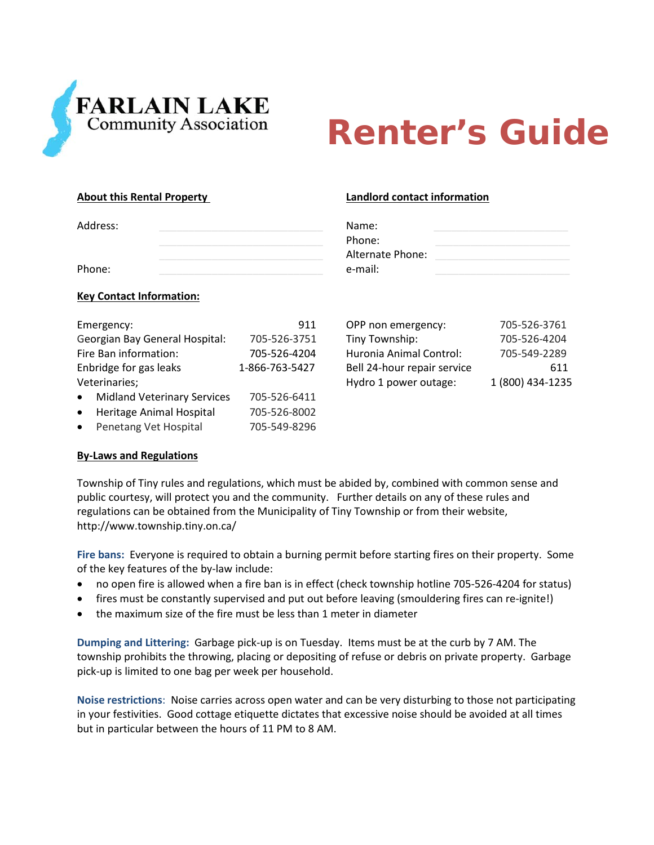

# **Renter's Guide**

**About this Rental Property Landlord contact information**

| Address: | Name:            |  |
|----------|------------------|--|
|          | Phone:           |  |
|          | Alternate Phone: |  |
| Phone:   | e-mail:          |  |

### **Key Contact Information:**

| Emergency:                            | 911            | OPP non emergency:          | 705-526-3761     |
|---------------------------------------|----------------|-----------------------------|------------------|
| Georgian Bay General Hospital:        | 705-526-3751   | Tiny Township:              | 705-526-4204     |
| Fire Ban information:                 | 705-526-4204   | Huronia Animal Control:     | 705-549-2289     |
| Enbridge for gas leaks                | 1-866-763-5427 | Bell 24-hour repair service | 611              |
| Veterinaries;                         |                | Hydro 1 power outage:       | 1 (800) 434-1235 |
| • Midland Veterinary Services         | 705-526-6411   |                             |                  |
| Heritage Animal Hospital<br>$\bullet$ | 705-526-8002   |                             |                  |
| Penetang Vet Hospital<br>$\bullet$    | 705-549-8296   |                             |                  |

| OPP non emergency:          | 705-526-3761     |
|-----------------------------|------------------|
| Tiny Township:              | 705-526-4204     |
| Huronia Animal Control:     | 705-549-2289     |
| Bell 24-hour repair service | 611              |
| Hydro 1 power outage:       | 1 (800) 434-1235 |

# **By‐Laws and Regulations**

Township of Tiny rules and regulations, which must be abided by, combined with common sense and public courtesy, will protect you and the community. Further details on any of these rules and regulations can be obtained from the Municipality of Tiny Township or from their website, http://www.township.tiny.on.ca/

**Fire bans:** Everyone is required to obtain a burning permit before starting fires on their property. Some of the key features of the by‐law include:

- no open fire is allowed when a fire ban is in effect (check township hotline 705-526-4204 for status)
- fires must be constantly supervised and put out before leaving (smouldering fires can re-ignite!)
- the maximum size of the fire must be less than 1 meter in diameter

**Dumping and Littering:** Garbage pick‐up is on Tuesday. Items must be at the curb by 7 AM. The township prohibits the throwing, placing or depositing of refuse or debris on private property. Garbage pick‐up is limited to one bag per week per household.

**Noise restrictions**: Noise carries across open water and can be very disturbing to those not participating in your festivities. Good cottage etiquette dictates that excessive noise should be avoided at all times but in particular between the hours of 11 PM to 8 AM.